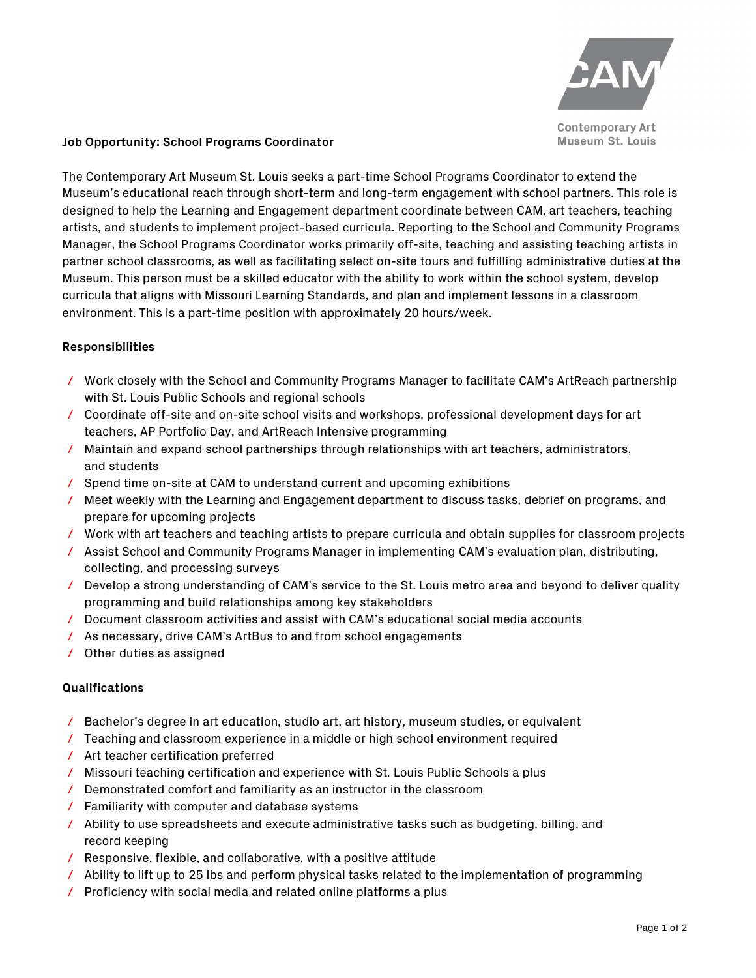

## **Job Opportunity: School Programs Coordinator**

The Contemporary Art Museum St. Louis seeks a part-time School Programs Coordinator to extend the Museum's educational reach through short-term and long-term engagement with school partners. This role is designed to help the Learning and Engagement department coordinate between CAM, art teachers, teaching artists, and students to implement project-based curricula. Reporting to the School and Community Programs Manager, the School Programs Coordinator works primarily off-site, teaching and assisting teaching artists in partner school classrooms, as well as facilitating select on-site tours and fulfilling administrative duties at the Museum. This person must be a skilled educator with the ability to work within the school system, develop curricula that aligns with Missouri Learning Standards, and plan and implement lessons in a classroom environment. This is a part-time position with approximately 20 hours/week.

## **Responsibilities**

- / Work closely with the School and Community Programs Manager to facilitate CAM's ArtReach partnership with St. Louis Public Schools and regional schools
- / Coordinate off-site and on-site school visits and workshops, professional development days for art teachers, AP Portfolio Day, and ArtReach Intensive programming
- / Maintain and expand school partnerships through relationships with art teachers, administrators, and students
- / Spend time on-site at CAM to understand current and upcoming exhibitions
- / Meet weekly with the Learning and Engagement department to discuss tasks, debrief on programs, and prepare for upcoming projects
- / Work with art teachers and teaching artists to prepare curricula and obtain supplies for classroom projects
- / Assist School and Community Programs Manager in implementing CAM's evaluation plan, distributing, collecting, and processing surveys
- / Develop a strong understanding of CAM's service to the St. Louis metro area and beyond to deliver quality programming and build relationships among key stakeholders
- / Document classroom activities and assist with CAM's educational social media accounts
- / As necessary, drive CAM's ArtBus to and from school engagements
- / Other duties as assigned

## **Qualifications**

- / Bachelor's degree in art education, studio art, art history, museum studies, or equivalent
- / Teaching and classroom experience in a middle or high school environment required
- / Art teacher certification preferred
- / Missouri teaching certification and experience with St. Louis Public Schools a plus
- / Demonstrated comfort and familiarity as an instructor in the classroom
- / Familiarity with computer and database systems
- / Ability to use spreadsheets and execute administrative tasks such as budgeting, billing, and record keeping
- / Responsive, flexible, and collaborative, with a positive attitude
- / Ability to lift up to 25 lbs and perform physical tasks related to the implementation of programming
- / Proficiency with social media and related online platforms a plus